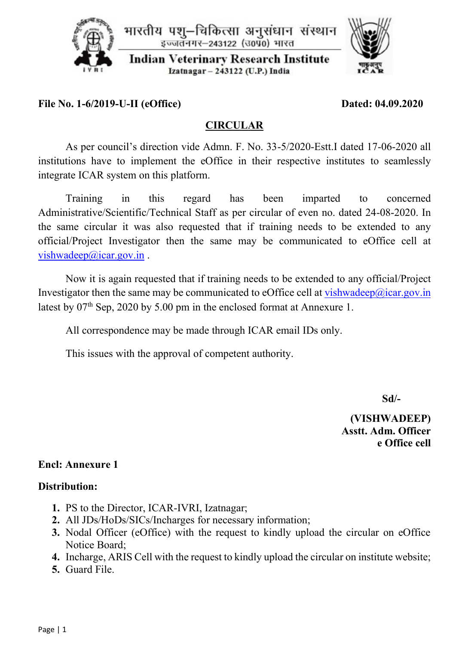



**File No. 1-6/2019-U-II (eOffice) Dated: 04.09.2020**

# **CIRCULAR**

As per council's direction vide Admn. F. No. 33-5/2020-Estt.I dated 17-06-2020 all institutions have to implement the eOffice in their respective institutes to seamlessly integrate ICAR system on this platform.

Training in this regard has been imparted to concerned Administrative/Scientific/Technical Staff as per circular of even no. dated 24-08-2020. In the same circular it was also requested that if training needs to be extended to any official/Project Investigator then the same may be communicated to eOffice cell at [vishwadeep@icar.gov.in](mailto:vishwadeep@icar.gov.in).

Now it is again requested that if training needs to be extended to any official/Project Investigator then the same may be communicated to eOffice cell at [vishwadeep@icar.gov.in](mailto:vishwadeep@icar.gov.in) latest by  $07<sup>th</sup>$  Sep, 2020 by 5.00 pm in the enclosed format at Annexure 1.

All correspondence may be made through ICAR email IDs only.

This issues with the approval of competent authority.

 **Sd/-**

 **(VISHWADEEP) Asstt. Adm. Officer e Office cell**

## **Encl: Annexure 1**

## **Distribution:**

- **1.** PS to the Director, ICAR-IVRI, Izatnagar;
- **2.** All JDs/HoDs/SICs/Incharges for necessary information;
- **3.** Nodal Officer (eOffice) with the request to kindly upload the circular on eOffice Notice Board;
- **4.** Incharge, ARIS Cell with the request to kindly upload the circular on institute website;
- **5.** Guard File.